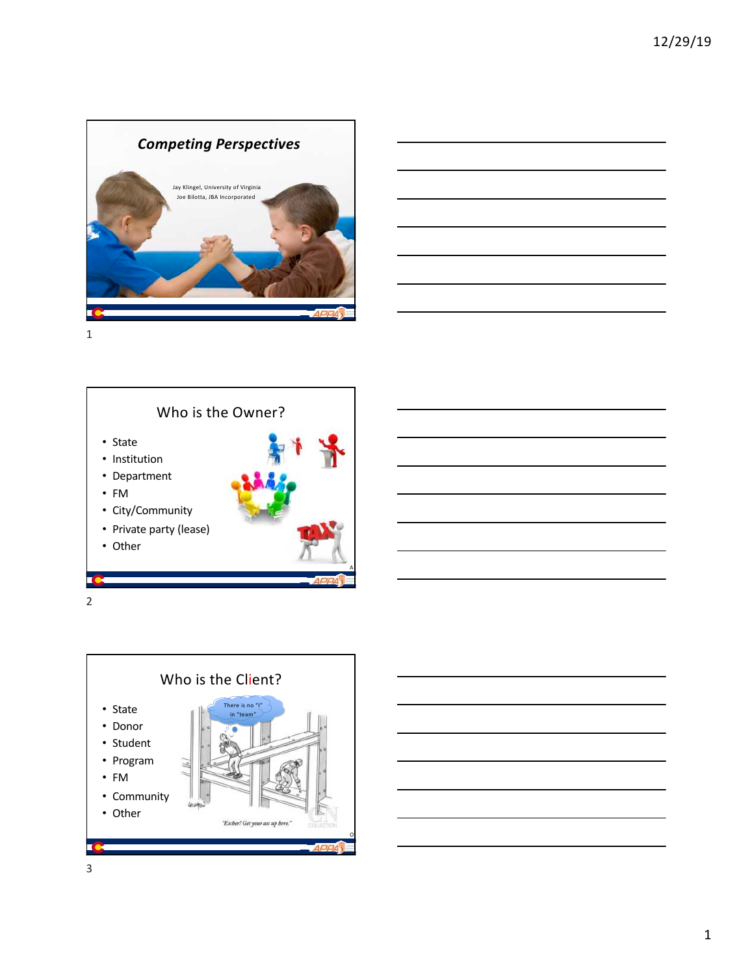





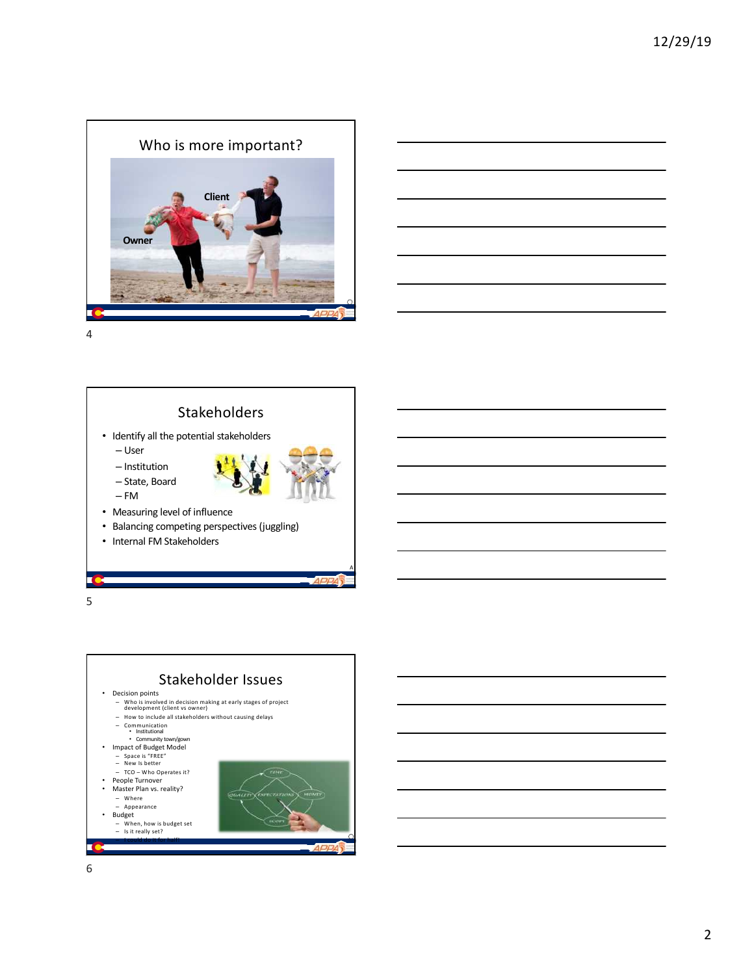





5

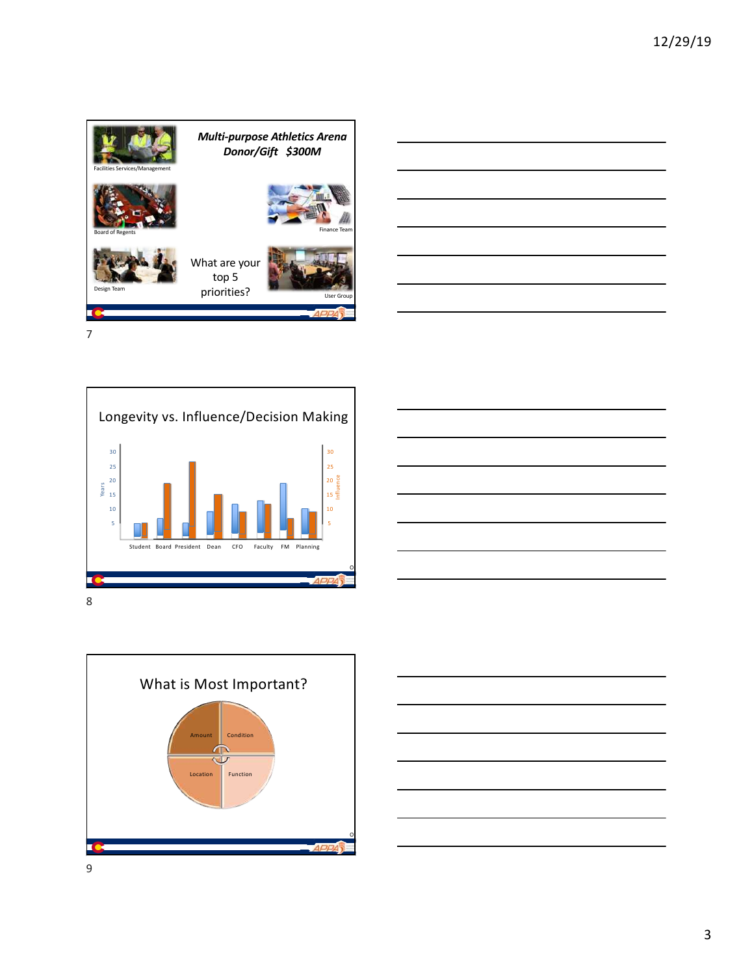









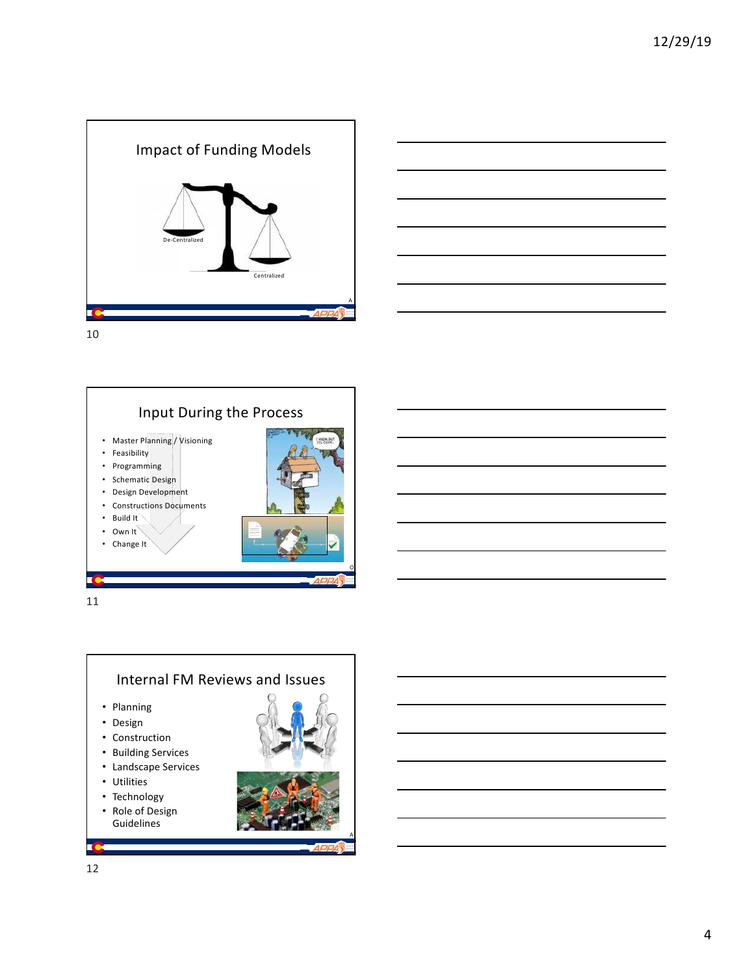







A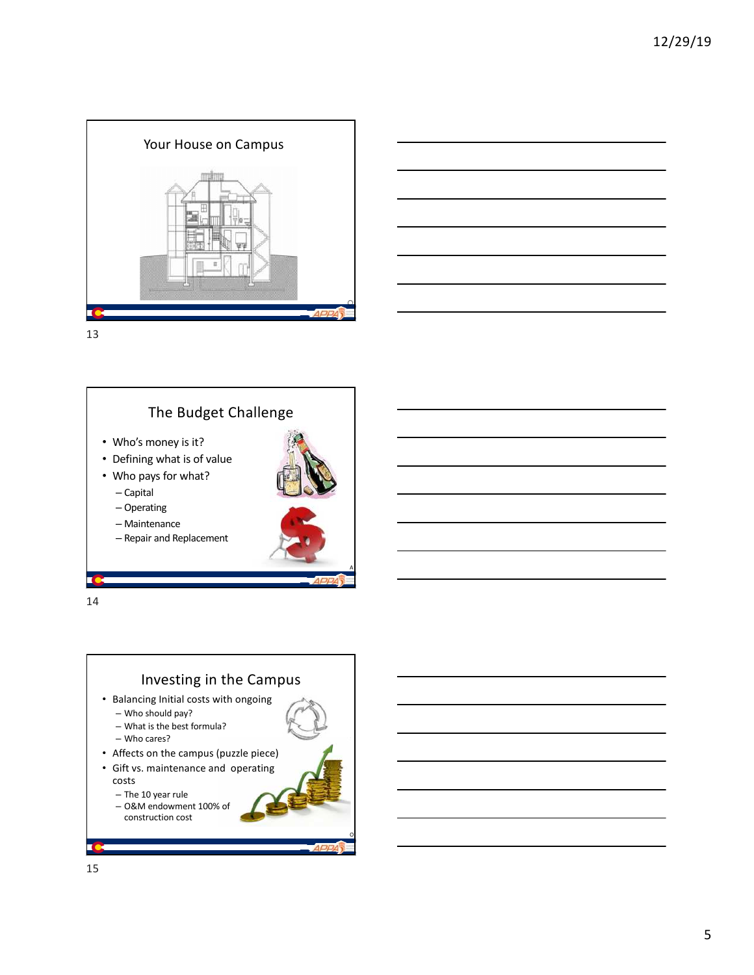





- Who's money is it?
- Defining what is of value
- Who pays for what?
	- Capital
	- Operating
	- Maintenance
	- Repair and Replacement

14



14

A